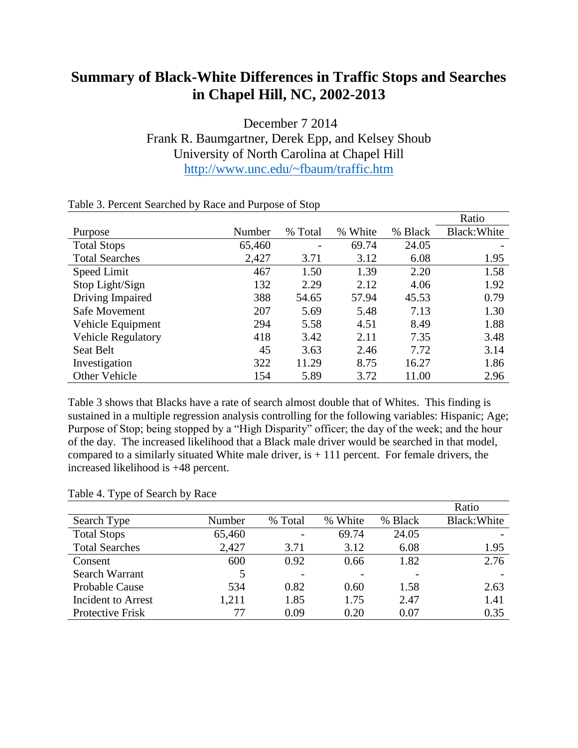## **Summary of Black-White Differences in Traffic Stops and Searches in Chapel Hill, NC, 2002-2013**

December 7 2014 Frank R. Baumgartner, Derek Epp, and Kelsey Shoub University of North Carolina at Chapel Hill <http://www.unc.edu/~fbaum/traffic.htm>

|                           |        |         |               |         | Ratio        |
|---------------------------|--------|---------|---------------|---------|--------------|
| Purpose                   | Number | % Total | White<br>$\%$ | % Black | Black: White |
| <b>Total Stops</b>        | 65,460 | -       | 69.74         | 24.05   |              |
| <b>Total Searches</b>     | 2,427  | 3.71    | 3.12          | 6.08    | 1.95         |
| Speed Limit               | 467    | 1.50    | 1.39          | 2.20    | 1.58         |
| Stop Light/Sign           | 132    | 2.29    | 2.12          | 4.06    | 1.92         |
| Driving Impaired          | 388    | 54.65   | 57.94         | 45.53   | 0.79         |
| Safe Movement             | 207    | 5.69    | 5.48          | 7.13    | 1.30         |
| Vehicle Equipment         | 294    | 5.58    | 4.51          | 8.49    | 1.88         |
| <b>Vehicle Regulatory</b> | 418    | 3.42    | 2.11          | 7.35    | 3.48         |
| Seat Belt                 | 45     | 3.63    | 2.46          | 7.72    | 3.14         |
| Investigation             | 322    | 11.29   | 8.75          | 16.27   | 1.86         |
| Other Vehicle             | 154    | 5.89    | 3.72          | 11.00   | 2.96         |

## Table 3. Percent Searched by Race and Purpose of Stop

Table 3 shows that Blacks have a rate of search almost double that of Whites. This finding is sustained in a multiple regression analysis controlling for the following variables: Hispanic; Age; Purpose of Stop; being stopped by a "High Disparity" officer; the day of the week; and the hour of the day. The increased likelihood that a Black male driver would be searched in that model, compared to a similarly situated White male driver, is  $+111$  percent. For female drivers, the increased likelihood is +48 percent.

|                       |        |         |         |         | Ratio        |
|-----------------------|--------|---------|---------|---------|--------------|
| Search Type           | Number | % Total | % White | % Black | Black: White |
| <b>Total Stops</b>    | 65,460 |         | 69.74   | 24.05   |              |
| <b>Total Searches</b> | 2,427  | 3.71    | 3.12    | 6.08    | 1.95         |
| Consent               | 600    | 0.92    | 0.66    | 1.82    | 2.76         |
| Search Warrant        | 5      |         |         |         |              |
| Probable Cause        | 534    | 0.82    | 0.60    | 1.58    | 2.63         |
| Incident to Arrest    | 1,211  | 1.85    | 1.75    | 2.47    | 1.41         |
| Protective Frisk      | 77     | 0.09    | 0.20    | 0.07    | 0.35         |